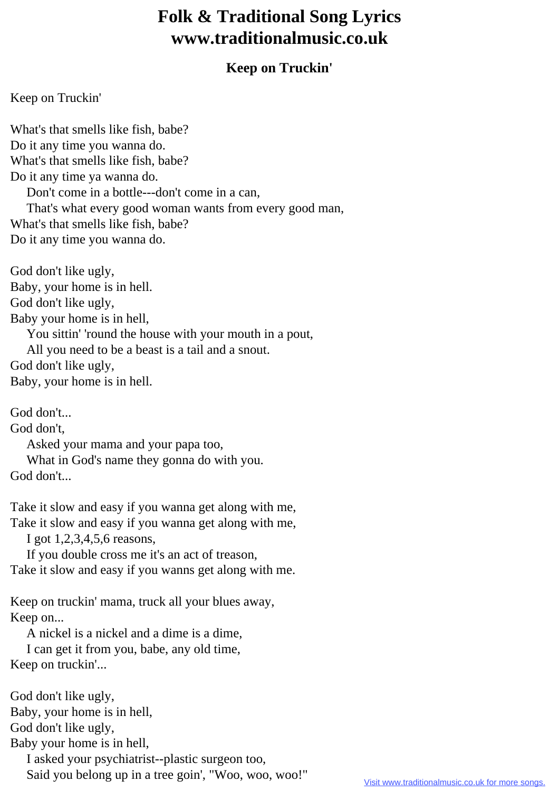## **Folk & Traditional Song Lyrics www.traditionalmusic.co.uk**

## **Keep on Truckin'**

## Keep on Truckin'

What's that smells like fish, babe? Do it any time you wanna do. What's that smells like fish, babe? Do it any time ya wanna do. Don't come in a bottle---don't come in a can, That's what every good woman wants from every good man, What's that smells like fish, babe? Do it any time you wanna do.

God don't like ugly, Baby, your home is in hell. God don't like ugly, Baby your home is in hell, You sittin' 'round the house with your mouth in a pout, All you need to be a beast is a tail and a snout. God don't like ugly, Baby, your home is in hell.

God don't...

God don't,

Asked your mama and your papa too,

What in God's name they gonna do with you.

God don't...

Take it slow and easy if you wanna get along with me, Take it slow and easy if you wanna get along with me,

I got 1,2,3,4,5,6 reasons,

 If you double cross me it's an act of treason, Take it slow and easy if you wanns get along with me.

Keep on truckin' mama, truck all your blues away, Keep on...

A nickel is a nickel and a dime is a dime,

 I can get it from you, babe, any old time, Keep on truckin'...

God don't like ugly, Baby, your home is in hell, God don't like ugly, Baby your home is in hell, I asked your psychiatrist--plastic surgeon too, Said you belong up in a tree goin', "Woo, woo, woo!"